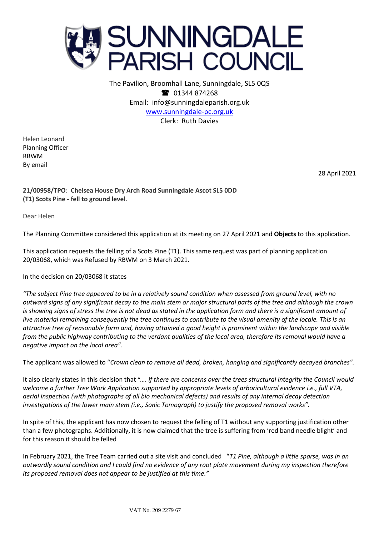

The Pavilion, Broomhall Lane, Sunningdale, SL5 0QS <sup>2</sup> 01344 874268 Email: info@sunningdaleparish.org.uk [www.sunningdale-pc.org.uk](http://www.sunningdale-pc.org.uk/) Clerk: Ruth Davies

Helen Leonard Planning Officer RBWM By email

28 April 2021

**21/00958/TPO**: **Chelsea House Dry Arch Road Sunningdale Ascot SL5 0DD (T1) Scots Pine - fell to ground level**.

Dear Helen

The Planning Committee considered this application at its meeting on 27 April 2021 and **Objects** to this application.

This application requests the felling of a Scots Pine (T1). This same request was part of planning application 20/03068, which was Refused by RBWM on 3 March 2021.

In the decision on 20/03068 it states

*"The subject Pine tree appeared to be in a relatively sound condition when assessed from ground level, with no outward signs of any significant decay to the main stem or major structural parts of the tree and although the crown is showing signs of stress the tree is not dead as stated in the application form and there is a significant amount of live material remaining consequently the tree continues to contribute to the visual amenity of the locale. This is an attractive tree of reasonable form and, having attained a good height is prominent within the landscape and visible from the public highway contributing to the verdant qualities of the local area, therefore its removal would have a negative impact on the local area".*

The applicant was allowed to "*Crown clean to remove all dead, broken, hanging and significantly decayed branches".*

It also clearly states in this decision that "*…. if there are concerns over the trees structural integrity the Council would welcome a further Tree Work Application supported by appropriate levels of arboricultural evidence i.e., full VTA, aerial inspection (with photographs of all bio mechanical defects) and results of any internal decay detection investigations of the lower main stem (i.e., Sonic Tomograph) to justify the proposed removal works".*

In spite of this, the applicant has now chosen to request the felling of T1 without any supporting justification other than a few photographs. Additionally, it is now claimed that the tree is suffering from 'red band needle blight' and for this reason it should be felled

In February 2021, the Tree Team carried out a site visit and concluded "*T1 Pine, although a little sparse, was in an outwardly sound condition and I could find no evidence of any root plate movement during my inspection therefore its proposed removal does not appear to be justified at this time."*